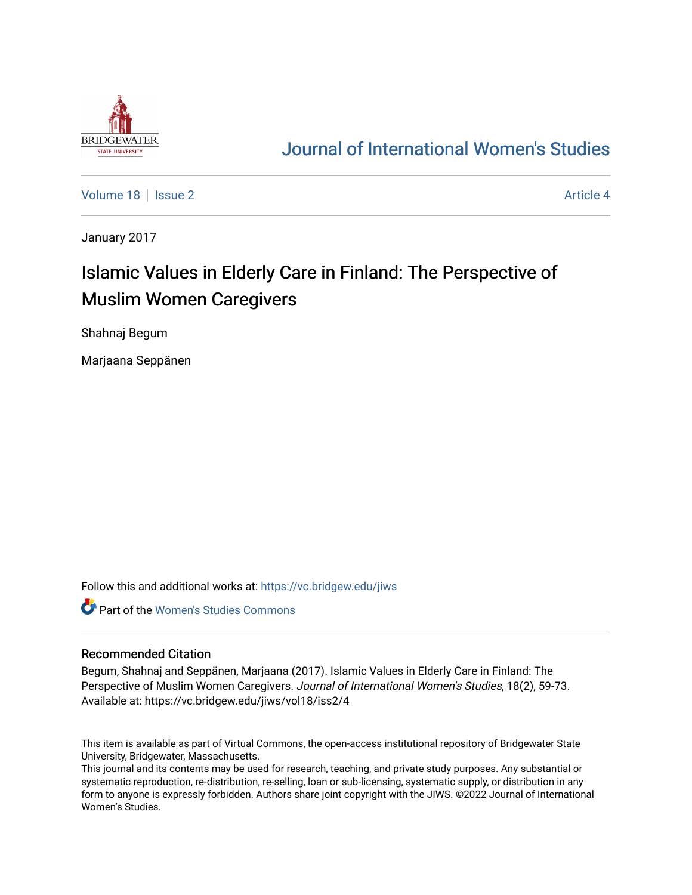

## [Journal of International Women's Studies](https://vc.bridgew.edu/jiws)

[Volume 18](https://vc.bridgew.edu/jiws/vol18) Setus 2 [Article 4](https://vc.bridgew.edu/jiws/vol18/iss2/4) Article 4 Article 4

January 2017

# Islamic Values in Elderly Care in Finland: The Perspective of Muslim Women Caregivers

Shahnaj Begum

Marjaana Seppänen

Follow this and additional works at: [https://vc.bridgew.edu/jiws](https://vc.bridgew.edu/jiws?utm_source=vc.bridgew.edu%2Fjiws%2Fvol18%2Fiss2%2F4&utm_medium=PDF&utm_campaign=PDFCoverPages)

**C** Part of the Women's Studies Commons

#### Recommended Citation

Begum, Shahnaj and Seppänen, Marjaana (2017). Islamic Values in Elderly Care in Finland: The Perspective of Muslim Women Caregivers. Journal of International Women's Studies, 18(2), 59-73. Available at: https://vc.bridgew.edu/jiws/vol18/iss2/4

This item is available as part of Virtual Commons, the open-access institutional repository of Bridgewater State University, Bridgewater, Massachusetts.

This journal and its contents may be used for research, teaching, and private study purposes. Any substantial or systematic reproduction, re-distribution, re-selling, loan or sub-licensing, systematic supply, or distribution in any form to anyone is expressly forbidden. Authors share joint copyright with the JIWS. ©2022 Journal of International Women's Studies.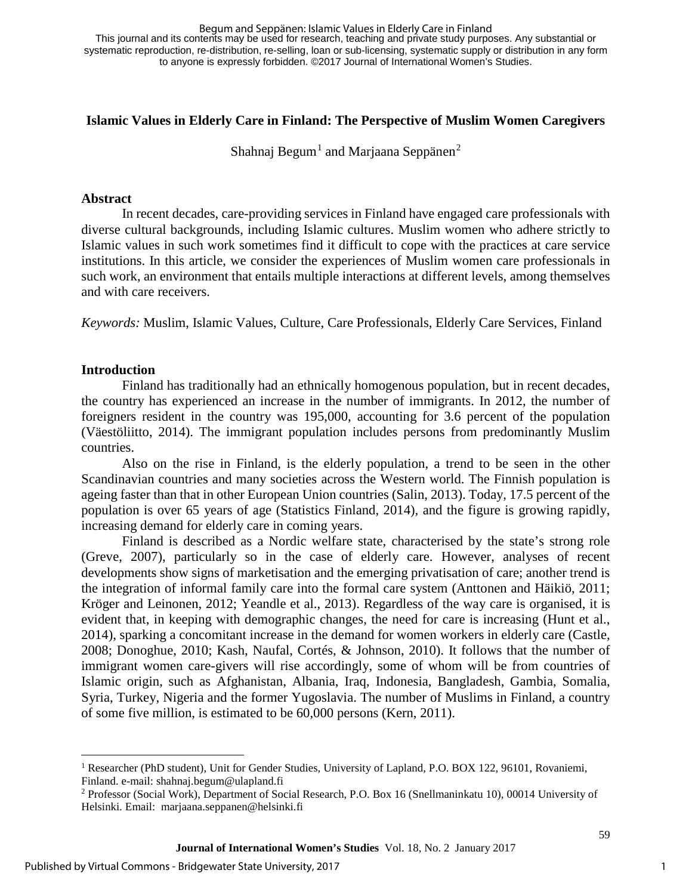This journal and its contents may be used for research, teaching and private study purposes. Any substantial or systematic reproduction, re-distribution, re-selling, loan or sub-licensing, systematic supply or distribution in any form to anyone is expressly forbidden. ©2017 Journal of International Women's Studies. Begum and Seppänen: Islamic Values in Elderly Care in Finland

## **Islamic Values in Elderly Care in Finland: The Perspective of Muslim Women Caregivers**

Shahnaj Begum<sup>[1](#page-1-0)</sup> and Marjaana Seppänen<sup>[2](#page-1-1)</sup>

## **Abstract**

In recent decades, care-providing services in Finland have engaged care professionals with diverse cultural backgrounds, including Islamic cultures. Muslim women who adhere strictly to Islamic values in such work sometimes find it difficult to cope with the practices at care service institutions. In this article, we consider the experiences of Muslim women care professionals in such work, an environment that entails multiple interactions at different levels, among themselves and with care receivers.

*Keywords:* Muslim, Islamic Values, Culture, Care Professionals, Elderly Care Services, Finland

#### **Introduction**

 $\overline{a}$ 

Finland has traditionally had an ethnically homogenous population, but in recent decades, the country has experienced an increase in the number of immigrants. In 2012, the number of foreigners resident in the country was 195,000, accounting for 3.6 percent of the population (Väestöliitto, 2014). The immigrant population includes persons from predominantly Muslim countries.

Also on the rise in Finland, is the elderly population, a trend to be seen in the other Scandinavian countries and many societies across the Western world. The Finnish population is ageing faster than that in other European Union countries (Salin, 2013). Today, 17.5 percent of the population is over 65 years of age (Statistics Finland, 2014), and the figure is growing rapidly, increasing demand for elderly care in coming years.

Finland is described as a Nordic welfare state, characterised by the state's strong role (Greve, 2007), particularly so in the case of elderly care. However, analyses of recent developments show signs of marketisation and the emerging privatisation of care; another trend is the integration of informal family care into the formal care system (Anttonen and Häikiö, 2011; Kröger and Leinonen, 2012; Yeandle et al., 2013). Regardless of the way care is organised, it is evident that, in keeping with demographic changes, the need for care is increasing (Hunt et al., 2014), sparking a concomitant increase in the demand for women workers in elderly care (Castle, 2008; Donoghue, 2010; Kash, Naufal, Cortés, & Johnson, 2010). It follows that the number of immigrant women care-givers will rise accordingly, some of whom will be from countries of Islamic origin, such as Afghanistan, Albania, Iraq, Indonesia, Bangladesh, Gambia, Somalia, Syria, Turkey, Nigeria and the former Yugoslavia. The number of Muslims in Finland, a country of some five million, is estimated to be 60,000 persons (Kern, 2011).

<span id="page-1-0"></span><sup>&</sup>lt;sup>1</sup> Researcher (PhD student), Unit for Gender Studies, University of Lapland, P.O. BOX 122, 96101, Rovaniemi, Finland. e-mail: shahnaj.begum@ulapland.fi

<span id="page-1-1"></span><sup>2</sup> Professor (Social Work), Department of Social Research, P.O. Box 16 (Snellmaninkatu 10), 00014 University of Helsinki. Email: marjaana.seppanen@helsinki.fi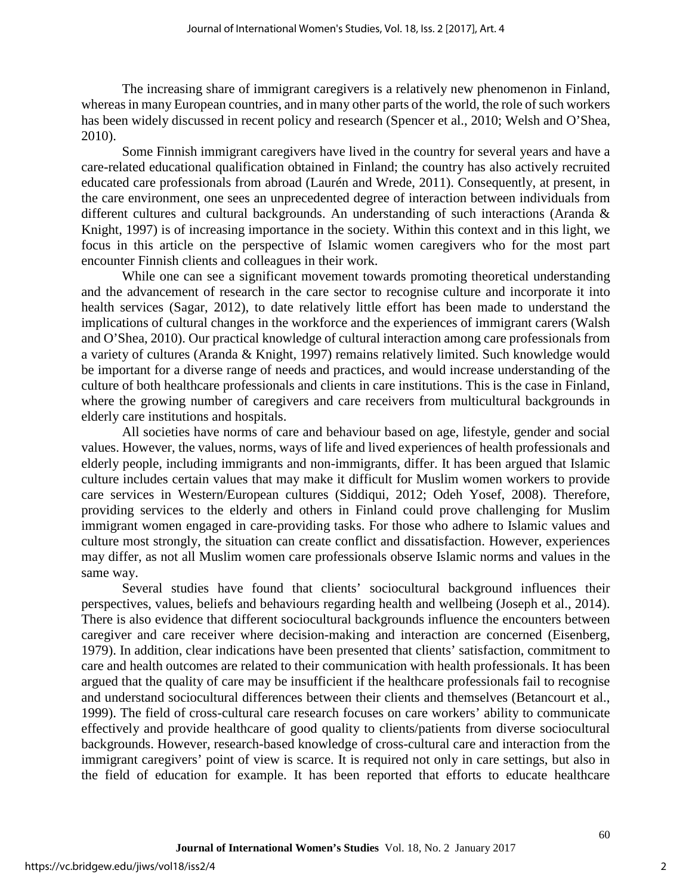The increasing share of immigrant caregivers is a relatively new phenomenon in Finland, whereas in many European countries, and in many other parts of the world, the role of such workers has been widely discussed in recent policy and research (Spencer et al., 2010; Welsh and O'Shea, 2010).

Some Finnish immigrant caregivers have lived in the country for several years and have a care-related educational qualification obtained in Finland; the country has also actively recruited educated care professionals from abroad (Laurén and Wrede, 2011). Consequently, at present, in the care environment, one sees an unprecedented degree of interaction between individuals from different cultures and cultural backgrounds. An understanding of such interactions (Aranda  $\&$ Knight, 1997) is of increasing importance in the society. Within this context and in this light, we focus in this article on the perspective of Islamic women caregivers who for the most part encounter Finnish clients and colleagues in their work.

While one can see a significant movement towards promoting theoretical understanding and the advancement of research in the care sector to recognise culture and incorporate it into health services (Sagar, 2012), to date relatively little effort has been made to understand the implications of cultural changes in the workforce and the experiences of immigrant carers (Walsh and O'Shea, 2010). Our practical knowledge of cultural interaction among care professionals from a variety of cultures (Aranda & Knight, 1997) remains relatively limited. Such knowledge would be important for a diverse range of needs and practices, and would increase understanding of the culture of both healthcare professionals and clients in care institutions. This is the case in Finland, where the growing number of caregivers and care receivers from multicultural backgrounds in elderly care institutions and hospitals.

All societies have norms of care and behaviour based on age, lifestyle, gender and social values. However, the values, norms, ways of life and lived experiences of health professionals and elderly people, including immigrants and non-immigrants, differ. It has been argued that Islamic culture includes certain values that may make it difficult for Muslim women workers to provide care services in Western/European cultures (Siddiqui, 2012; Odeh Yosef, 2008). Therefore, providing services to the elderly and others in Finland could prove challenging for Muslim immigrant women engaged in care-providing tasks. For those who adhere to Islamic values and culture most strongly, the situation can create conflict and dissatisfaction. However, experiences may differ, as not all Muslim women care professionals observe Islamic norms and values in the same way.

Several studies have found that clients' sociocultural background influences their perspectives, values, beliefs and behaviours regarding health and wellbeing (Joseph et al., 2014). There is also evidence that different sociocultural backgrounds influence the encounters between caregiver and care receiver where decision-making and interaction are concerned (Eisenberg, 1979). In addition, clear indications have been presented that clients' satisfaction, commitment to care and health outcomes are related to their communication with health professionals. It has been argued that the quality of care may be insufficient if the healthcare professionals fail to recognise and understand sociocultural differences between their clients and themselves (Betancourt et al., 1999). The field of cross-cultural care research focuses on care workers' ability to communicate effectively and provide healthcare of good quality to clients/patients from diverse sociocultural backgrounds. However, research-based knowledge of cross-cultural care and interaction from the immigrant caregivers' point of view is scarce. It is required not only in care settings, but also in the field of education for example. It has been reported that efforts to educate healthcare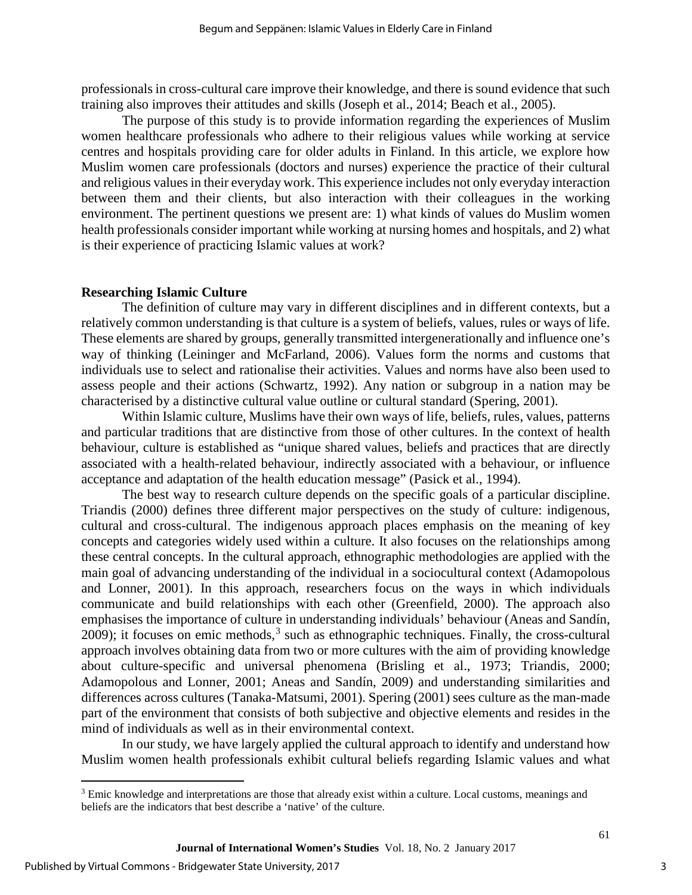professionals in cross-cultural care improve their knowledge, and there is sound evidence that such training also improves their attitudes and skills (Joseph et al., 2014; Beach et al., 2005).

The purpose of this study is to provide information regarding the experiences of Muslim women healthcare professionals who adhere to their religious values while working at service centres and hospitals providing care for older adults in Finland. In this article, we explore how Muslim women care professionals (doctors and nurses) experience the practice of their cultural and religious values in their everyday work. This experience includes not only everyday interaction between them and their clients, but also interaction with their colleagues in the working environment. The pertinent questions we present are: 1) what kinds of values do Muslim women health professionals consider important while working at nursing homes and hospitals, and 2) what is their experience of practicing Islamic values at work?

## **Researching Islamic Culture**

The definition of culture may vary in different disciplines and in different contexts, but a relatively common understanding is that culture is a system of beliefs, values, rules or ways of life. These elements are shared by groups, generally transmitted intergenerationally and influence one's way of thinking (Leininger and McFarland, 2006). Values form the norms and customs that individuals use to select and rationalise their activities. Values and norms have also been used to assess people and their actions (Schwartz, 1992). Any nation or subgroup in a nation may be characterised by a distinctive cultural value outline or cultural standard (Spering, 2001).

Within Islamic culture, Muslims have their own ways of life, beliefs, rules, values, patterns and particular traditions that are distinctive from those of other cultures. In the context of health behaviour, culture is established as "unique shared values, beliefs and practices that are directly associated with a health-related behaviour, indirectly associated with a behaviour, or influence acceptance and adaptation of the health education message" (Pasick et al., 1994).

The best way to research culture depends on the specific goals of a particular discipline. Triandis (2000) defines three different major perspectives on the study of culture: indigenous, cultural and cross-cultural. The indigenous approach places emphasis on the meaning of key concepts and categories widely used within a culture. It also focuses on the relationships among these central concepts. In the cultural approach, ethnographic methodologies are applied with the main goal of advancing understanding of the individual in a sociocultural context (Adamopolous and Lonner, 2001). In this approach, researchers focus on the ways in which individuals communicate and build relationships with each other (Greenfield, 2000). The approach also emphasises the importance of culture in understanding individuals' behaviour (Aneas and Sandín,  $2009$ ); it focuses on emic methods,  $3$  such as ethnographic techniques. Finally, the cross-cultural approach involves obtaining data from two or more cultures with the aim of providing knowledge about culture-specific and universal phenomena (Brisling et al., 1973; Triandis, 2000; Adamopolous and Lonner, 2001; Aneas and Sandín, 2009) and understanding similarities and differences across cultures (Tanaka-Matsumi, 2001). Spering (2001) sees culture as the man-made part of the environment that consists of both subjective and objective elements and resides in the mind of individuals as well as in their environmental context.

In our study, we have largely applied the cultural approach to identify and understand how Muslim women health professionals exhibit cultural beliefs regarding Islamic values and what

 $\overline{a}$ 

<span id="page-3-0"></span><sup>&</sup>lt;sup>3</sup> Emic knowledge and interpretations are those that already exist within a culture. Local customs, meanings and beliefs are the indicators that best describe a 'native' of the culture.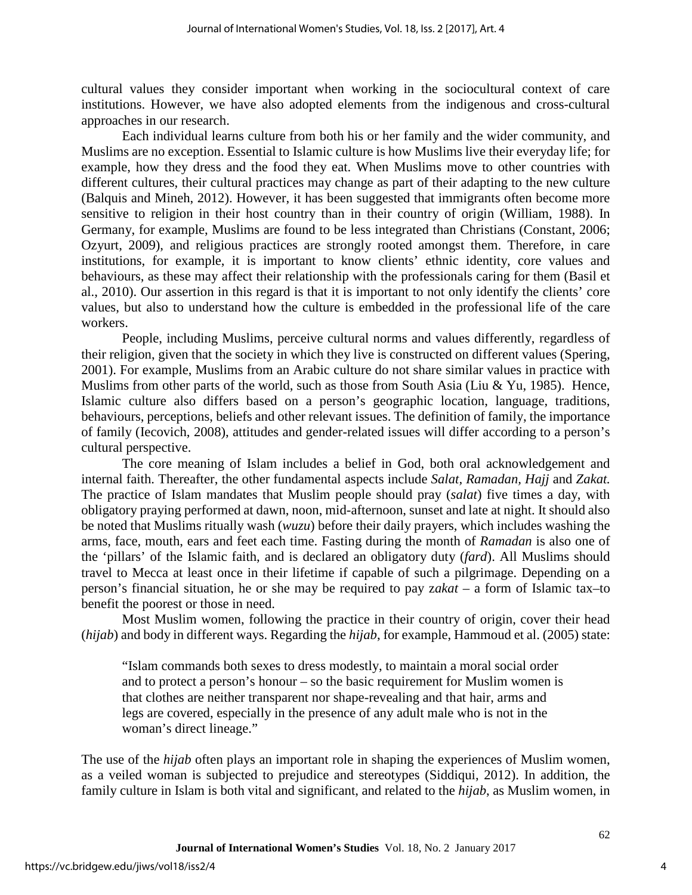cultural values they consider important when working in the sociocultural context of care institutions. However, we have also adopted elements from the indigenous and cross-cultural approaches in our research.

Each individual learns culture from both his or her family and the wider community, and Muslims are no exception. Essential to Islamic culture is how Muslims live their everyday life; for example, how they dress and the food they eat. When Muslims move to other countries with different cultures, their cultural practices may change as part of their adapting to the new culture (Balquis and Mineh, 2012). However, it has been suggested that immigrants often become more sensitive to religion in their host country than in their country of origin (William, 1988). In Germany, for example, Muslims are found to be less integrated than Christians (Constant, 2006; Ozyurt, 2009), and religious practices are strongly rooted amongst them. Therefore, in care institutions, for example, it is important to know clients' ethnic identity, core values and behaviours, as these may affect their relationship with the professionals caring for them (Basil et al., 2010). Our assertion in this regard is that it is important to not only identify the clients' core values, but also to understand how the culture is embedded in the professional life of the care workers.

People, including Muslims, perceive cultural norms and values differently, regardless of their religion, given that the society in which they live is constructed on different values (Spering, 2001). For example, Muslims from an Arabic culture do not share similar values in practice with Muslims from other parts of the world, such as those from South Asia (Liu & Yu, 1985). Hence, Islamic culture also differs based on a person's geographic location, language, traditions, behaviours, perceptions, beliefs and other relevant issues. The definition of family, the importance of family (Iecovich, 2008), attitudes and gender-related issues will differ according to a person's cultural perspective.

The core meaning of Islam includes a belief in God, both oral acknowledgement and internal faith. Thereafter, the other fundamental aspects include *Salat, Ramadan, Hajj* and *Zakat.* The practice of Islam mandates that Muslim people should pray (*salat*) five times a day, with obligatory praying performed at dawn, noon, mid-afternoon, sunset and late at night. It should also be noted that Muslims ritually wash (*wuzu*) before their daily prayers, which includes washing the arms, face, mouth, ears and feet each time. Fasting during the month of *Ramadan* is also one of the 'pillars' of the Islamic faith, and is declared an obligatory duty (*fard*). All Muslims should travel to Mecca at least once in their lifetime if capable of such a pilgrimage. Depending on a person's financial situation, he or she may be required to pay z*akat* – a form of Islamic tax–to benefit the poorest or those in need.

Most Muslim women, following the practice in their country of origin, cover their head (*hijab*) and body in different ways. Regarding the *hijab*, for example, Hammoud et al. (2005) state:

"Islam commands both sexes to dress modestly, to maintain a moral social order and to protect a person's honour – so the basic requirement for Muslim women is that clothes are neither transparent nor shape-revealing and that hair, arms and legs are covered, especially in the presence of any adult male who is not in the woman's direct lineage."

The use of the *hijab* often plays an important role in shaping the experiences of Muslim women, as a veiled woman is subjected to prejudice and stereotypes (Siddiqui, 2012). In addition, the family culture in Islam is both vital and significant, and related to the *hijab*, as Muslim women, in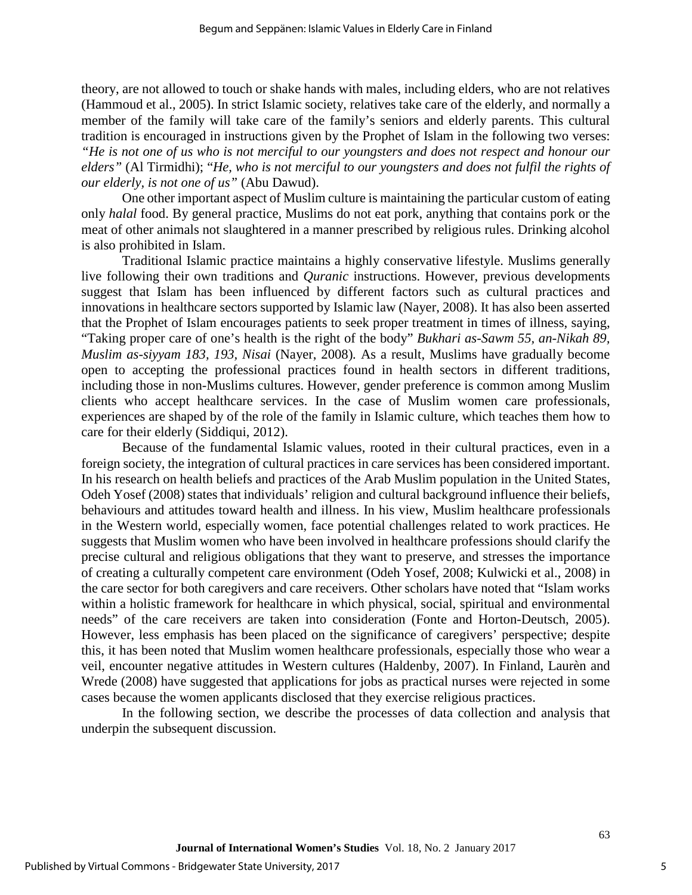theory, are not allowed to touch or shake hands with males, including elders, who are not relatives (Hammoud et al., 2005). In strict Islamic society, relatives take care of the elderly, and normally a member of the family will take care of the family's seniors and elderly parents. This cultural tradition is encouraged in instructions given by the Prophet of Islam in the following two verses: *"He is not one of us who is not merciful to our youngsters and does not respect and honour our elders"* (Al Tirmidhi); "*He, who is not merciful to our youngsters and does not fulfil the rights of our elderly, is not one of us"* (Abu Dawud).

One other important aspect of Muslim culture is maintaining the particular custom of eating only *halal* food. By general practice, Muslims do not eat pork, anything that contains pork or the meat of other animals not slaughtered in a manner prescribed by religious rules. Drinking alcohol is also prohibited in Islam.

Traditional Islamic practice maintains a highly conservative lifestyle. Muslims generally live following their own traditions and *Quranic* instructions. However, previous developments suggest that Islam has been influenced by different factors such as cultural practices and innovations in healthcare sectors supported by Islamic law (Nayer, 2008). It has also been asserted that the Prophet of Islam encourages patients to seek proper treatment in times of illness, saying, "Taking proper care of one's health is the right of the body" *[Bukhari as-Sawm 55, an-Nikah 89,](http://www.crescentlife.com/wellness/every_illness_has_a_cure.htm)  [Muslim as-siyyam 183, 193, Nisai](http://www.crescentlife.com/wellness/every_illness_has_a_cure.htm)* (Nayer, 2008)*.* As a result, Muslims have gradually become open to accepting the professional practices found in health sectors in different traditions, including those in non-Muslims cultures. However, gender preference is common among Muslim clients who accept healthcare services. In the case of Muslim women care professionals, experiences are shaped by of the role of the family in Islamic culture, which teaches them how to care for their elderly (Siddiqui, 2012).

Because of the fundamental Islamic values, rooted in their cultural practices, even in a foreign society, the integration of cultural practices in care services has been considered important. In his research on health beliefs and practices of the Arab Muslim population in the United States, Odeh Yosef (2008) states that individuals' religion and cultural background influence their beliefs, behaviours and attitudes toward health and illness. In his view, Muslim healthcare professionals in the Western world, especially women, face potential challenges related to work practices. He suggests that Muslim women who have been involved in healthcare professions should clarify the precise cultural and religious obligations that they want to preserve, and stresses the importance of creating a culturally competent care environment (Odeh Yosef, 2008; Kulwicki et al., 2008) in the care sector for both caregivers and care receivers. Other scholars have noted that "Islam works within a holistic framework for healthcare in which physical, social, spiritual and environmental needs" of the care receivers are taken into consideration (Fonte and Horton-Deutsch, 2005). However, less emphasis has been placed on the significance of caregivers' perspective; despite this, it has been noted that Muslim women healthcare professionals, especially those who wear a veil, encounter negative attitudes in Western cultures (Haldenby, 2007). In Finland, Laurèn and Wrede (2008) have suggested that applications for jobs as practical nurses were rejected in some cases because the women applicants disclosed that they exercise religious practices.

In the following section, we describe the processes of data collection and analysis that underpin the subsequent discussion.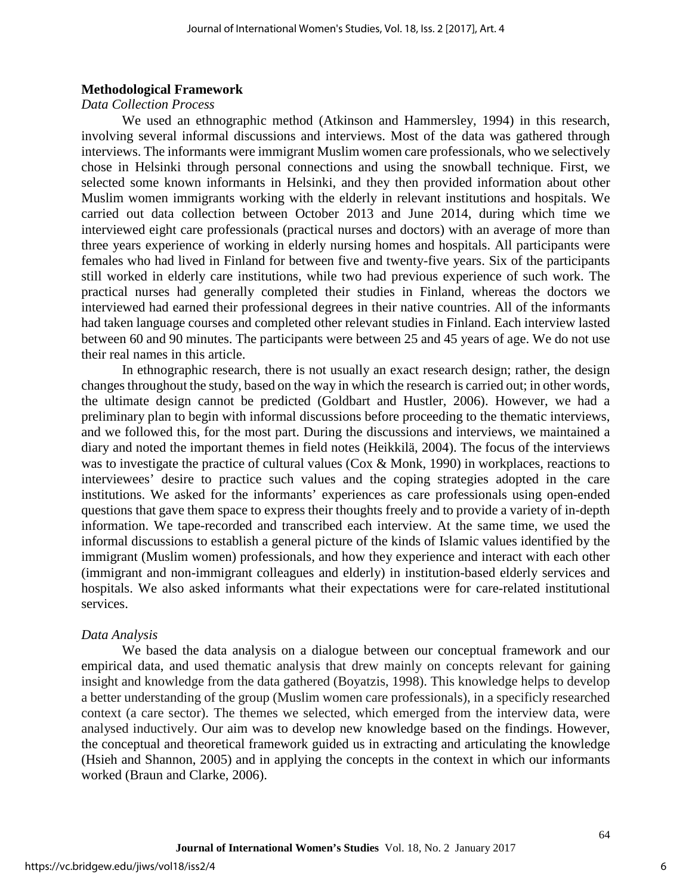#### **Methodological Framework**

## *Data Collection Process*

We used an ethnographic method (Atkinson and Hammersley, 1994) in this research, involving several informal discussions and interviews. Most of the data was gathered through interviews. The informants were immigrant Muslim women care professionals, who we selectively chose in Helsinki through personal connections and using the snowball technique. First, we selected some known informants in Helsinki, and they then provided information about other Muslim women immigrants working with the elderly in relevant institutions and hospitals. We carried out data collection between October 2013 and June 2014, during which time we interviewed eight care professionals (practical nurses and doctors) with an average of more than three years experience of working in elderly nursing homes and hospitals. All participants were females who had lived in Finland for between five and twenty-five years. Six of the participants still worked in elderly care institutions, while two had previous experience of such work. The practical nurses had generally completed their studies in Finland, whereas the doctors we interviewed had earned their professional degrees in their native countries. All of the informants had taken language courses and completed other relevant studies in Finland. Each interview lasted between 60 and 90 minutes. The participants were between 25 and 45 years of age. We do not use their real names in this article.

In ethnographic research, there is not usually an exact research design; rather, the design changes throughout the study, based on the way in which the research is carried out; in other words, the ultimate design cannot be predicted (Goldbart and Hustler, 2006). However, we had a preliminary plan to begin with informal discussions before proceeding to the thematic interviews, and we followed this, for the most part. During the discussions and interviews, we maintained a diary and noted the important themes in field notes (Heikkilä, 2004). The focus of the interviews was to investigate the practice of cultural values (Cox & Monk, 1990) in workplaces, reactions to interviewees' desire to practice such values and the coping strategies adopted in the care institutions. We asked for the informants' experiences as care professionals using open-ended questions that gave them space to express their thoughts freely and to provide a variety of in-depth information. We tape-recorded and transcribed each interview. At the same time, we used the informal discussions to establish a general picture of the kinds of Islamic values identified by the immigrant (Muslim women) professionals, and how they experience and interact with each other (immigrant and non-immigrant colleagues and elderly) in institution-based elderly services and hospitals. We also asked informants what their expectations were for care-related institutional services.

#### *Data Analysis*

We based the data analysis on a dialogue between our conceptual framework and our empirical data, and used thematic analysis that drew mainly on concepts relevant for gaining insight and knowledge from the data gathered (Boyatzis, 1998). This knowledge helps to develop a better understanding of the group (Muslim women care professionals), in a specificly researched context (a care sector). The themes we selected, which emerged from the interview data, were analysed inductively. Our aim was to develop new knowledge based on the findings. However, the conceptual and theoretical framework guided us in extracting and articulating the knowledge (Hsieh and Shannon, 2005) and in applying the concepts in the context in which our informants worked (Braun and Clarke, 2006).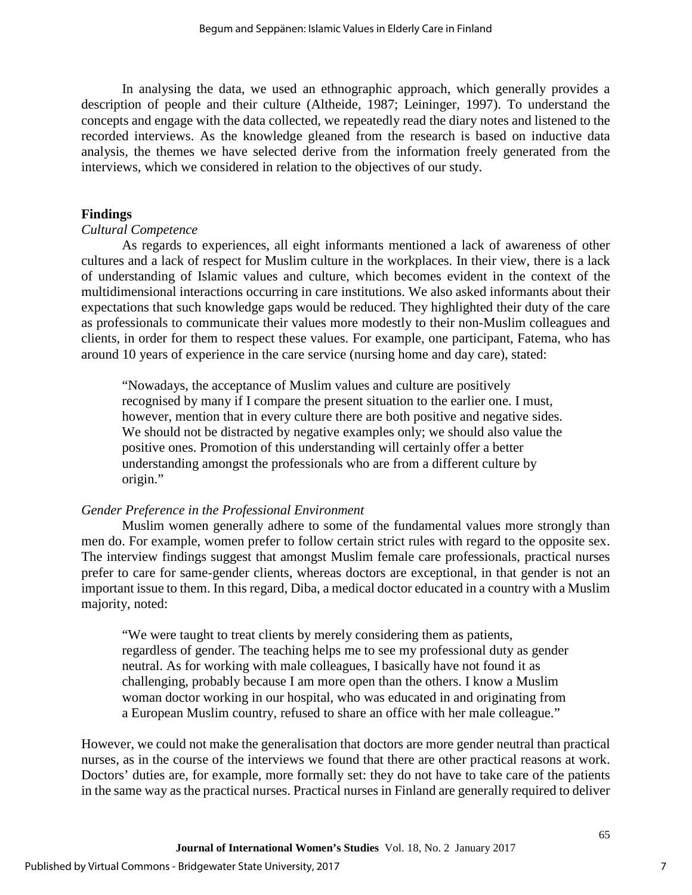In analysing the data, we used an ethnographic approach, which generally provides a description of people and their culture (Altheide, 1987; Leininger, 1997). To understand the concepts and engage with the data collected, we repeatedly read the diary notes and listened to the recorded interviews. As the knowledge gleaned from the research is based on inductive data analysis, the themes we have selected derive from the information freely generated from the interviews, which we considered in relation to the objectives of our study.

## **Findings**

## *Cultural Competence*

As regards to experiences, all eight informants mentioned a lack of awareness of other cultures and a lack of respect for Muslim culture in the workplaces. In their view, there is a lack of understanding of Islamic values and culture, which becomes evident in the context of the multidimensional interactions occurring in care institutions. We also asked informants about their expectations that such knowledge gaps would be reduced. They highlighted their duty of the care as professionals to communicate their values more modestly to their non-Muslim colleagues and clients, in order for them to respect these values. For example, one participant, Fatema, who has around 10 years of experience in the care service (nursing home and day care), stated:

"Nowadays, the acceptance of Muslim values and culture are positively recognised by many if I compare the present situation to the earlier one. I must, however, mention that in every culture there are both positive and negative sides. We should not be distracted by negative examples only; we should also value the positive ones. Promotion of this understanding will certainly offer a better understanding amongst the professionals who are from a different culture by origin."

## *Gender Preference in the Professional Environment*

Muslim women generally adhere to some of the fundamental values more strongly than men do. For example, women prefer to follow certain strict rules with regard to the opposite sex. The interview findings suggest that amongst Muslim female care professionals, practical nurses prefer to care for same-gender clients, whereas doctors are exceptional, in that gender is not an important issue to them. In this regard, Diba, a medical doctor educated in a country with a Muslim majority, noted:

"We were taught to treat clients by merely considering them as patients, regardless of gender. The teaching helps me to see my professional duty as gender neutral. As for working with male colleagues, I basically have not found it as challenging, probably because I am more open than the others. I know a Muslim woman doctor working in our hospital, who was educated in and originating from a European Muslim country, refused to share an office with her male colleague."

However, we could not make the generalisation that doctors are more gender neutral than practical nurses, as in the course of the interviews we found that there are other practical reasons at work. Doctors' duties are, for example, more formally set: they do not have to take care of the patients in the same way as the practical nurses. Practical nurses in Finland are generally required to deliver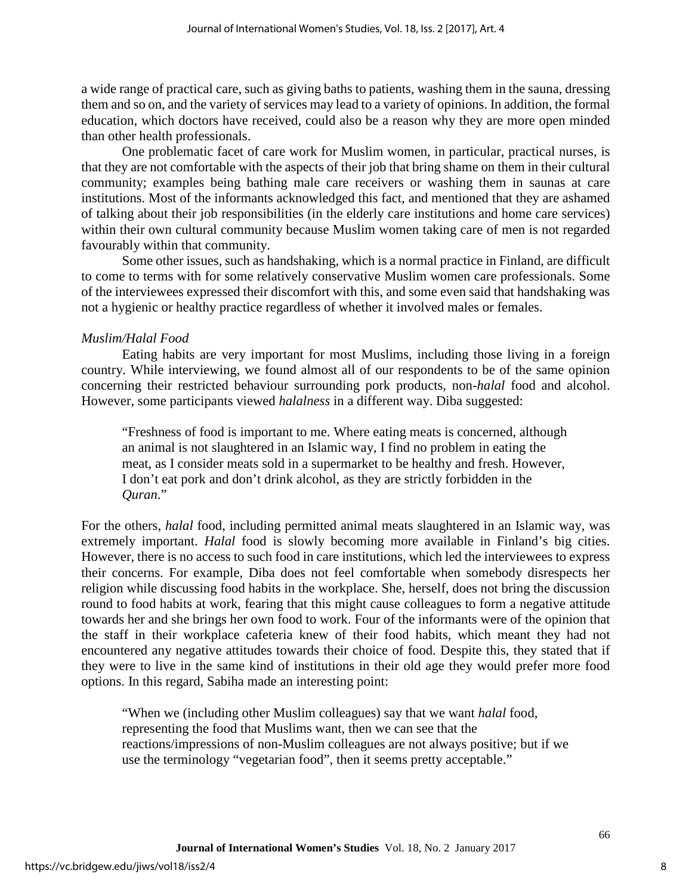a wide range of practical care, such as giving baths to patients, washing them in the sauna, dressing them and so on, and the variety of services may lead to a variety of opinions. In addition, the formal education, which doctors have received, could also be a reason why they are more open minded than other health professionals.

One problematic facet of care work for Muslim women, in particular, practical nurses, is that they are not comfortable with the aspects of their job that bring shame on them in their cultural community; examples being bathing male care receivers or washing them in saunas at care institutions. Most of the informants acknowledged this fact, and mentioned that they are ashamed of talking about their job responsibilities (in the elderly care institutions and home care services) within their own cultural community because Muslim women taking care of men is not regarded favourably within that community.

Some other issues, such as handshaking, which is a normal practice in Finland, are difficult to come to terms with for some relatively conservative Muslim women care professionals. Some of the interviewees expressed their discomfort with this, and some even said that handshaking was not a hygienic or healthy practice regardless of whether it involved males or females.

## *Muslim/Halal Food*

Eating habits are very important for most Muslims, including those living in a foreign country. While interviewing, we found almost all of our respondents to be of the same opinion concerning their restricted behaviour surrounding pork products, non-*halal* food and alcohol. However, some participants viewed *halalness* in a different way. Diba suggested:

"Freshness of food is important to me. Where eating meats is concerned, although an animal is not slaughtered in an Islamic way, I find no problem in eating the meat, as I consider meats sold in a supermarket to be healthy and fresh. However, I don't eat pork and don't drink alcohol, as they are strictly forbidden in the *Quran*."

For the others, *halal* food, including permitted animal meats slaughtered in an Islamic way, was extremely important. *Halal* food is slowly becoming more available in Finland's big cities. However, there is no access to such food in care institutions, which led the interviewees to express their concerns. For example, Diba does not feel comfortable when somebody disrespects her religion while discussing food habits in the workplace. She, herself, does not bring the discussion round to food habits at work, fearing that this might cause colleagues to form a negative attitude towards her and she brings her own food to work. Four of the informants were of the opinion that the staff in their workplace cafeteria knew of their food habits, which meant they had not encountered any negative attitudes towards their choice of food. Despite this, they stated that if they were to live in the same kind of institutions in their old age they would prefer more food options. In this regard, Sabiha made an interesting point:

"When we (including other Muslim colleagues) say that we want *halal* food, representing the food that Muslims want, then we can see that the reactions/impressions of non-Muslim colleagues are not always positive; but if we use the terminology "vegetarian food", then it seems pretty acceptable."

8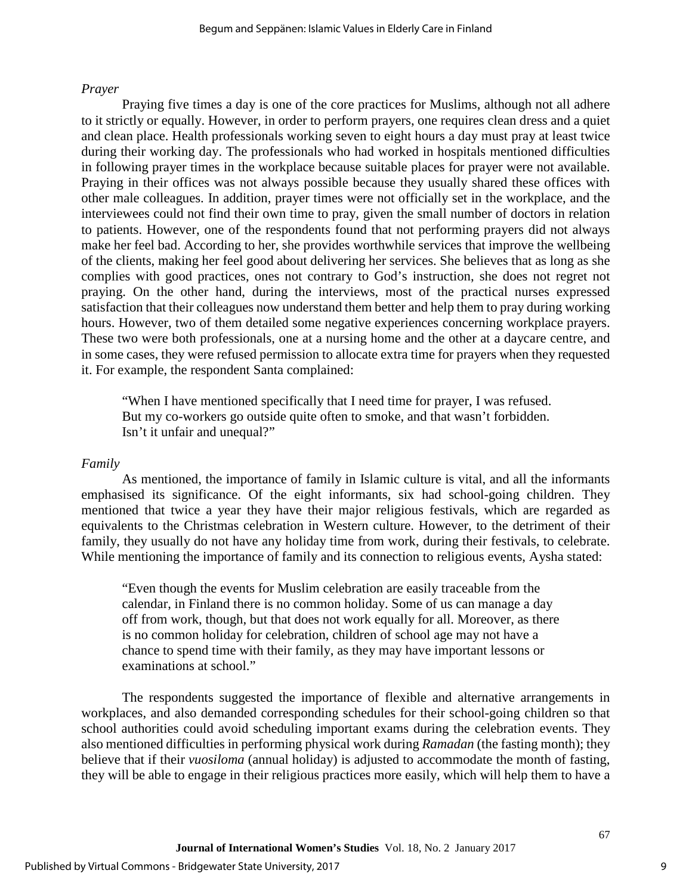## *Prayer*

Praying five times a day is one of the core practices for Muslims, although not all adhere to it strictly or equally. However, in order to perform prayers, one requires clean dress and a quiet and clean place. Health professionals working seven to eight hours a day must pray at least twice during their working day. The professionals who had worked in hospitals mentioned difficulties in following prayer times in the workplace because suitable places for prayer were not available. Praying in their offices was not always possible because they usually shared these offices with other male colleagues. In addition, prayer times were not officially set in the workplace, and the interviewees could not find their own time to pray, given the small number of doctors in relation to patients. However, one of the respondents found that not performing prayers did not always make her feel bad. According to her, she provides worthwhile services that improve the wellbeing of the clients, making her feel good about delivering her services. She believes that as long as she complies with good practices, ones not contrary to God's instruction, she does not regret not praying. On the other hand, during the interviews, most of the practical nurses expressed satisfaction that their colleagues now understand them better and help them to pray during working hours. However, two of them detailed some negative experiences concerning workplace prayers. These two were both professionals, one at a nursing home and the other at a daycare centre, and in some cases, they were refused permission to allocate extra time for prayers when they requested it. For example, the respondent Santa complained:

"When I have mentioned specifically that I need time for prayer, I was refused. But my co-workers go outside quite often to smoke, and that wasn't forbidden. Isn't it unfair and unequal?"

## *Family*

As mentioned, the importance of family in Islamic culture is vital, and all the informants emphasised its significance. Of the eight informants, six had school-going children. They mentioned that twice a year they have their major religious festivals, which are regarded as equivalents to the Christmas celebration in Western culture. However, to the detriment of their family, they usually do not have any holiday time from work, during their festivals, to celebrate. While mentioning the importance of family and its connection to religious events, Aysha stated:

"Even though the events for Muslim celebration are easily traceable from the calendar, in Finland there is no common holiday. Some of us can manage a day off from work, though, but that does not work equally for all. Moreover, as there is no common holiday for celebration, children of school age may not have a chance to spend time with their family, as they may have important lessons or examinations at school."

The respondents suggested the importance of flexible and alternative arrangements in workplaces, and also demanded corresponding schedules for their school-going children so that school authorities could avoid scheduling important exams during the celebration events. They also mentioned difficulties in performing physical work during *Ramadan* (the fasting month); they believe that if their *vuosiloma* (annual holiday) is adjusted to accommodate the month of fasting, they will be able to engage in their religious practices more easily, which will help them to have a

9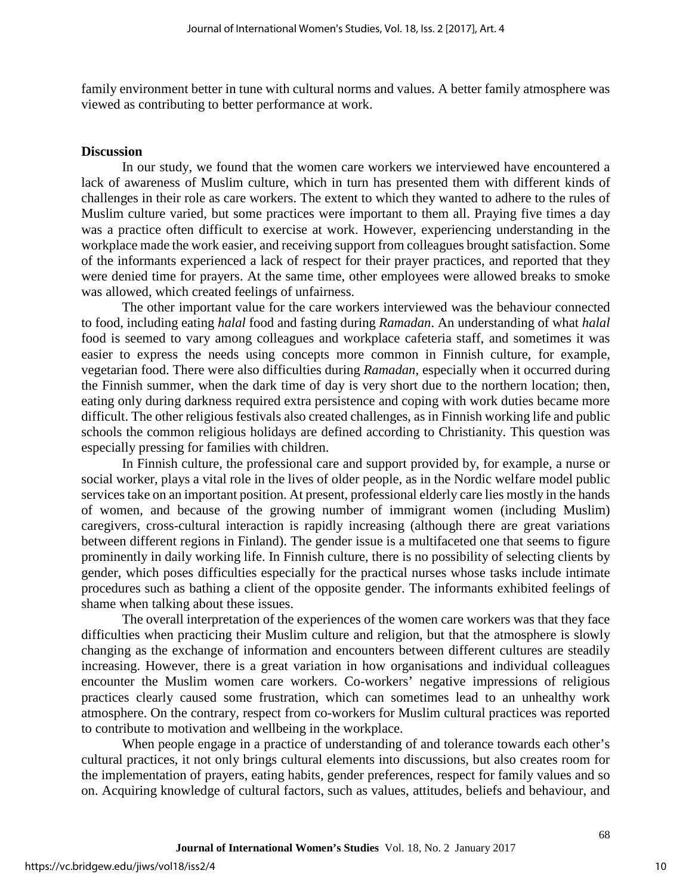family environment better in tune with cultural norms and values. A better family atmosphere was viewed as contributing to better performance at work.

#### **Discussion**

In our study, we found that the women care workers we interviewed have encountered a lack of awareness of Muslim culture, which in turn has presented them with different kinds of challenges in their role as care workers. The extent to which they wanted to adhere to the rules of Muslim culture varied, but some practices were important to them all. Praying five times a day was a practice often difficult to exercise at work. However, experiencing understanding in the workplace made the work easier, and receiving support from colleagues brought satisfaction. Some of the informants experienced a lack of respect for their prayer practices, and reported that they were denied time for prayers. At the same time, other employees were allowed breaks to smoke was allowed, which created feelings of unfairness.

The other important value for the care workers interviewed was the behaviour connected to food, including eating *halal* food and fasting during *Ramadan*. An understanding of what *halal* food is seemed to vary among colleagues and workplace cafeteria staff, and sometimes it was easier to express the needs using concepts more common in Finnish culture, for example, vegetarian food. There were also difficulties during *Ramadan*, especially when it occurred during the Finnish summer, when the dark time of day is very short due to the northern location; then, eating only during darkness required extra persistence and coping with work duties became more difficult. The other religious festivals also created challenges, as in Finnish working life and public schools the common religious holidays are defined according to Christianity. This question was especially pressing for families with children.

In Finnish culture, the professional care and support provided by, for example, a nurse or social worker, plays a vital role in the lives of older people, as in the Nordic welfare model public services take on an important position. At present, professional elderly care lies mostly in the hands of women, and because of the growing number of immigrant women (including Muslim) caregivers, cross-cultural interaction is rapidly increasing (although there are great variations between different regions in Finland). The gender issue is a multifaceted one that seems to figure prominently in daily working life. In Finnish culture, there is no possibility of selecting clients by gender, which poses difficulties especially for the practical nurses whose tasks include intimate procedures such as bathing a client of the opposite gender. The informants exhibited feelings of shame when talking about these issues.

The overall interpretation of the experiences of the women care workers was that they face difficulties when practicing their Muslim culture and religion, but that the atmosphere is slowly changing as the exchange of information and encounters between different cultures are steadily increasing. However, there is a great variation in how organisations and individual colleagues encounter the Muslim women care workers. Co-workers' negative impressions of religious practices clearly caused some frustration, which can sometimes lead to an unhealthy work atmosphere. On the contrary, respect from co-workers for Muslim cultural practices was reported to contribute to motivation and wellbeing in the workplace.

When people engage in a practice of understanding of and tolerance towards each other's cultural practices, it not only brings cultural elements into discussions, but also creates room for the implementation of prayers, eating habits, gender preferences, respect for family values and so on. Acquiring knowledge of cultural factors, such as values, attitudes, beliefs and behaviour, and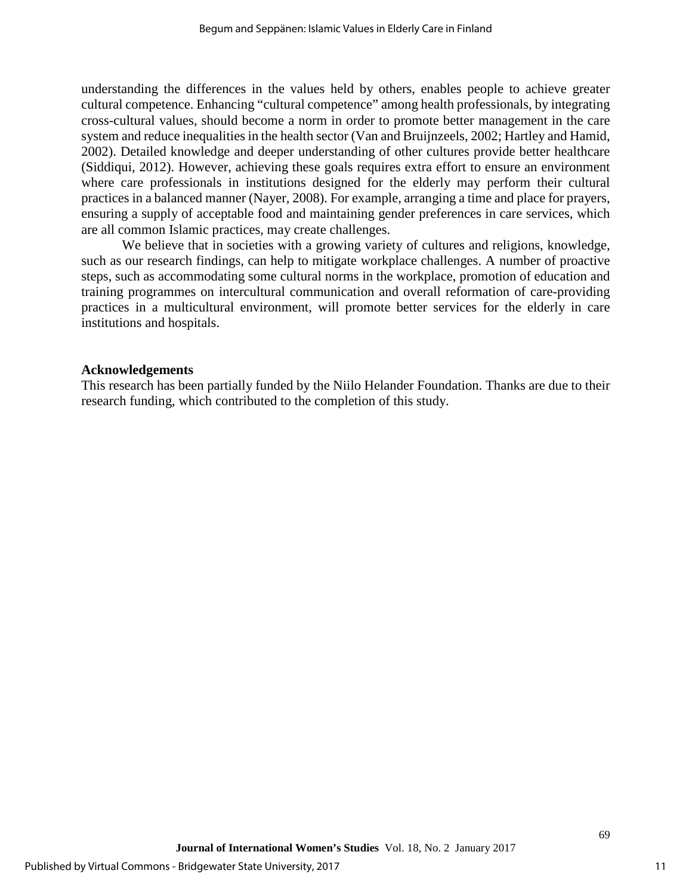understanding the differences in the values held by others, enables people to achieve greater cultural competence. Enhancing "cultural competence" among health professionals, by integrating cross-cultural values, should become a norm in order to promote better management in the care system and reduce inequalities in the health sector (Van and Bruijnzeels, 2002; Hartley and Hamid, 2002). Detailed knowledge and deeper understanding of other cultures provide better healthcare (Siddiqui, 2012). However, achieving these goals requires extra effort to ensure an environment where care professionals in institutions designed for the elderly may perform their cultural practices in a balanced manner (Nayer, 2008). For example, arranging a time and place for prayers, ensuring a supply of acceptable food and maintaining gender preferences in care services, which are all common Islamic practices, may create challenges.

We believe that in societies with a growing variety of cultures and religions, knowledge, such as our research findings, can help to mitigate workplace challenges. A number of proactive steps, such as accommodating some cultural norms in the workplace, promotion of education and training programmes on intercultural communication and overall reformation of care-providing practices in a multicultural environment, will promote better services for the elderly in care institutions and hospitals.

## **Acknowledgements**

This research has been partially funded by the Niilo Helander Foundation. Thanks are due to their research funding, which contributed to the completion of this study.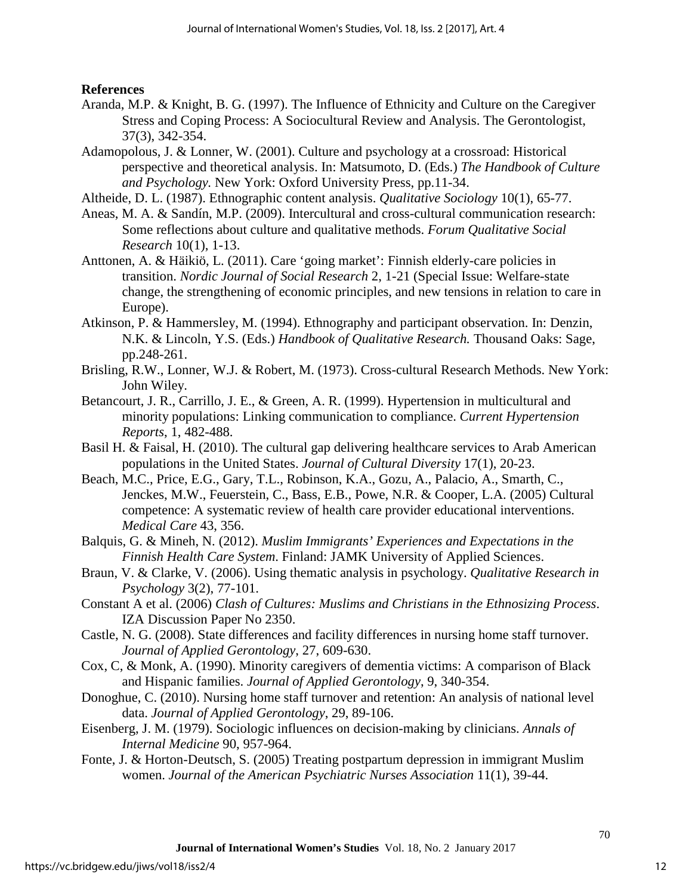**References**

- Aranda, M.P. & Knight, B. G. (1997). The Influence of Ethnicity and Culture on the Caregiver Stress and Coping Process: A Sociocultural Review and Analysis. The Gerontologist, 37(3), 342-354.
- Adamopolous, J. & Lonner, W. (2001). Culture and psychology at a crossroad: Historical perspective and theoretical analysis. In: Matsumoto, D. (Eds.) *The Handbook of Culture and Psychology.* New York: Oxford University Press, pp.11-34.
- Altheide, D. L. (1987). Ethnographic content analysis. *Qualitative Sociology* 10(1), 65-77.
- Aneas, M. A. & Sandín, M.P. (2009). Intercultural and cross-cultural communication research: Some reflections about culture and qualitative methods. *Forum Qualitative Social Research* 10(1), 1-13.
- Anttonen, A. & Häikiö, L. (2011). Care 'going market': Finnish elderly-care policies in transition. *Nordic Journal of Social Research* 2, 1-21 (Special Issue: Welfare-state change, the strengthening of economic principles, and new tensions in relation to care in Europe).
- Atkinson, P. & Hammersley, M. (1994). Ethnography and participant observation. In: Denzin, N.K. & Lincoln, Y.S. (Eds.) *Handbook of Qualitative Research.* Thousand Oaks: Sage, pp.248-261.
- Brisling, R.W., Lonner, W.J. & Robert, M. (1973). Cross-cultural Research Methods. New York: John Wiley.
- Betancourt, J. R., Carrillo, J. E., & Green, A. R. (1999). Hypertension in multicultural and minority populations: Linking communication to compliance. *Current Hypertension Reports*, 1, 482-488.
- Basil H. & Faisal, H. (2010). The cultural gap delivering healthcare services to Arab American populations in the United States. *Journal of Cultural Diversity* 17(1), 20-23.
- Beach, M.C., Price, E.G., Gary, T.L., Robinson, K.A., Gozu, A., Palacio, A., Smarth, C., Jenckes, M.W., Feuerstein, C., Bass, E.B., Powe, N.R. & Cooper, L.A. (2005) Cultural competence: A systematic review of health care provider educational interventions. *Medical Care* 43, 356.
- Balquis, G. & Mineh, N. (2012). *Muslim Immigrants' Experiences and Expectations in the Finnish Health Care System*. Finland: JAMK University of Applied Sciences.
- Braun, V. & Clarke, V. (2006). Using thematic analysis in psychology. *Qualitative Research in Psychology* 3(2), 77-101.
- Constant A et al. (2006) *Clash of Cultures: Muslims and Christians in the Ethnosizing Process*. IZA Discussion Paper No 2350.
- Castle, N. G. (2008). State differences and facility differences in nursing home staff turnover. *Journal of Applied Gerontology*, 27, 609-630.
- Cox, C, & Monk, A. (1990). Minority caregivers of dementia victims: A comparison of Black and Hispanic families. *Journal of Applied Gerontology*, 9, 340-354.
- Donoghue, C. (2010). Nursing home staff turnover and retention: An analysis of national level data. *Journal of Applied Gerontology*, 29, 89-106.
- Eisenberg, J. M. (1979). Sociologic influences on decision-making by clinicians. *Annals of Internal Medicine* 90, 957-964.
- Fonte, J. & Horton-Deutsch, S. (2005) Treating postpartum depression in immigrant Muslim women. *Journal of the American Psychiatric Nurses Association* 11(1), 39-44.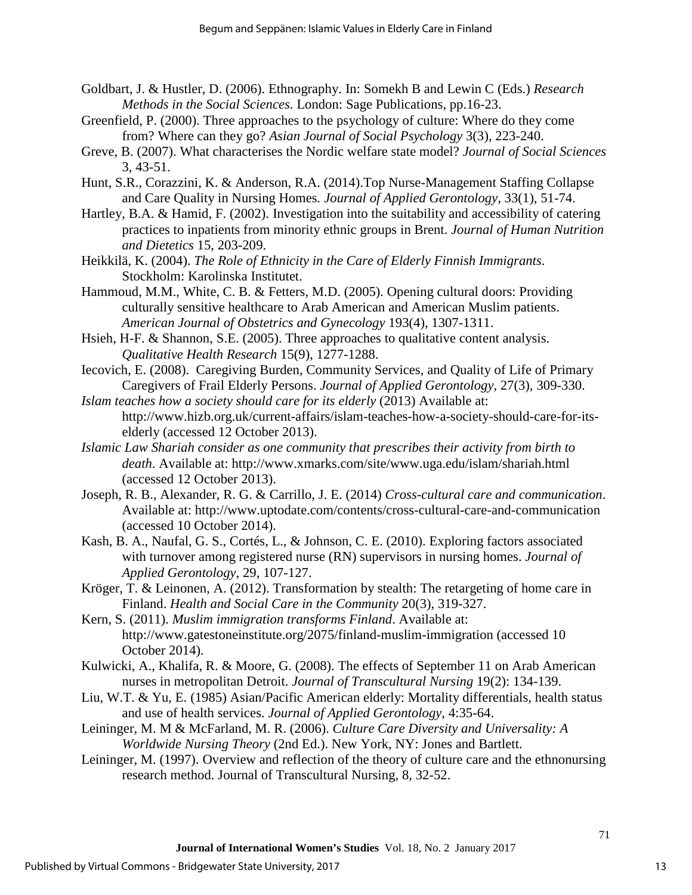- Goldbart, J. & Hustler, D. (2006). Ethnography. In: Somekh B and Lewin C (Eds.) *Research Methods in the Social Sciences*. London: Sage Publications, pp.16-23.
- Greenfield, P. (2000). Three approaches to the psychology of culture: Where do they come from? Where can they go? *Asian Journal of Social Psychology* 3(3), 223-240.
- Greve, B. (2007). What characterises the Nordic welfare state model? *Journal of Social Sciences* 3, 43-51.
- Hunt, S.R., Corazzini, K. & Anderson, R.A. (2014).Top Nurse-Management Staffing Collapse and Care Quality in Nursing Homes*. Journal of Applied Gerontology*, 33(1), 51-74.
- Hartley, B.A. & Hamid, F. (2002). Investigation into the suitability and accessibility of catering practices to inpatients from minority ethnic groups in Brent. *Journal of Human Nutrition and Dietetics* 15, 203-209.
- Heikkilä, K. (2004). *The Role of Ethnicity in the Care of Elderly Finnish Immigrants*. Stockholm: Karolinska Institutet.
- Hammoud, M.M., White, C. B. & Fetters, M.D. (2005). Opening cultural doors: Providing culturally sensitive healthcare to Arab American and American Muslim patients. *American Journal of Obstetrics and Gynecology* 193(4), 1307-1311.
- Hsieh, H-F. & Shannon, S.E. (2005). Three approaches to qualitative content analysis. *Qualitative Health Research* 15(9), 1277-1288.
- Iecovich, E. (2008). Caregiving Burden, Community Services, and Quality of Life of Primary Caregivers of Frail Elderly Persons. *Journal of Applied Gerontology,* 27(3), 309-330.
- *Islam teaches how a society should care for its elderly* (2013) Available at: http://www.hizb.org.uk/current-affairs/islam-teaches-how-a-society-should-care-for-itselderly (accessed 12 October 2013).
- *Islamic Law Shariah consider as one community that prescribes their activity from birth to death*. Available at: http://www.xmarks.com/site/www.uga.edu/islam/shariah.html (accessed 12 October 2013).
- Joseph, R. B., Alexander, R. G. & Carrillo, J. E. (2014) *Cross-cultural care and communication*. Available at: http://www.uptodate.com/contents/cross-cultural-care-and-communication (accessed 10 October 2014).
- Kash, B. A., Naufal, G. S., Cortés, L., & Johnson, C. E. (2010). Exploring factors associated with turnover among registered nurse (RN) supervisors in nursing homes. *Journal of Applied Gerontology*, 29, 107-127.
- Kröger, T. & Leinonen, A. (2012). Transformation by stealth: The retargeting of home care in Finland. *Health and Social Care in the Community* 20(3), 319-327.
- Kern, S. (2011). *Muslim immigration transforms Finland*. Available at: http://www.gatestoneinstitute.org/2075/finland-muslim-immigration (accessed 10 October 2014).
- Kulwicki, A., Khalifa, R. & Moore, G. (2008). The effects of September 11 on Arab American nurses in metropolitan Detroit. *Journal of Transcultural Nursing* 19(2): 134-139.
- Liu, W.T. & Yu, E. (1985) Asian/Pacific American elderly: Mortality differentials, health status and use of health services. *Journal of Applied Gerontology*, 4:35-64.
- Leininger, M. M & McFarland, M. R. (2006). *Culture Care Diversity and Universality: A Worldwide Nursing Theory* (2nd Ed.). New York, NY: Jones and Bartlett.
- Leininger, M. (1997). Overview and reflection of the theory of culture care and the ethnonursing research method. Journal of Transcultural Nursing, 8, 32-52.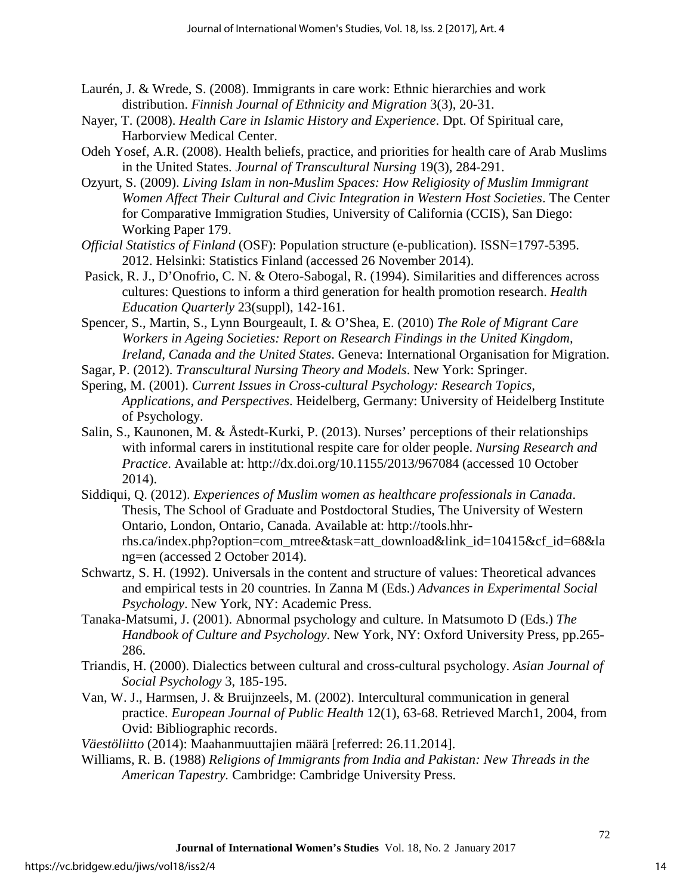- Laurén, J. & Wrede, S. (2008). Immigrants in care work: Ethnic hierarchies and work distribution. *Finnish Journal of Ethnicity and Migration* 3(3), 20-31.
- Nayer, T. (2008). *Health Care in Islamic History and Experience*. Dpt. Of Spiritual care, Harborview Medical Center.
- Odeh Yosef, A.R. (2008). Health beliefs, practice, and priorities for health care of Arab Muslims in the United States. *Journal of Transcultural Nursing* 19(3), 284-291.
- Ozyurt, S. (2009). *Living Islam in non-Muslim Spaces: How Religiosity of Muslim Immigrant Women Affect Their Cultural and Civic Integration in Western Host Societies*. The Center for Comparative Immigration Studies, University of California (CCIS), San Diego: Working Paper 179.
- *Official Statistics of Finland* (OSF): Population structure (e-publication). ISSN=1797-5395. 2012. Helsinki: Statistics Finland (accessed 26 November 2014).
- Pasick, R. J., D'Onofrio, C. N. & Otero-Sabogal, R. (1994). Similarities and differences across cultures: Questions to inform a third generation for health promotion research. *Health Education Quarterly* 23(suppl), 142-161.
- Spencer, S., Martin, S., Lynn Bourgeault, I. & O'Shea, E. (2010) *The Role of Migrant Care Workers in Ageing Societies: Report on Research Findings in the United Kingdom, Ireland, Canada and the United States*. Geneva: International Organisation for Migration.
- Sagar, P. (2012). *Transcultural Nursing Theory and Models*. New York: Springer.
- Spering, M. (2001). *Current Issues in Cross-cultural Psychology: Research Topics, Applications, and Perspectives*. Heidelberg, Germany: University of Heidelberg Institute of Psychology.
- Salin, S., Kaunonen, M. & Åstedt-Kurki, P. (2013). Nurses' perceptions of their relationships with informal carers in institutional respite care for older people. *Nursing Research and Practice*. Available at: http://dx.doi.org/10.1155/2013/967084 (accessed 10 October 2014).
- Siddiqui, Q. (2012). *Experiences of Muslim women as healthcare professionals in Canada*. Thesis, The School of Graduate and Postdoctoral Studies, The University of Western Ontario, London, Ontario, Canada. Available at: http://tools.hhrrhs.ca/index.php?option=com\_mtree&task=att\_download&link\_id=10415&cf\_id=68&la ng=en (accessed 2 October 2014).
- Schwartz, S. H. (1992). Universals in the content and structure of values: Theoretical advances and empirical tests in 20 countries. In Zanna M (Eds.) *Advances in Experimental Social Psychology*. New York, NY: Academic Press.
- Tanaka-Matsumi, J. (2001). Abnormal psychology and culture. In Matsumoto D (Eds.) *The Handbook of Culture and Psychology*. New York, NY: Oxford University Press, pp.265- 286.
- Triandis, H. (2000). Dialectics between cultural and cross-cultural psychology. *Asian Journal of Social Psychology* 3, 185-195.
- Van, W. J., Harmsen, J. & Bruijnzeels, M. (2002). Intercultural communication in general practice. *European Journal of Public Health* 12(1), 63-68. Retrieved March1, 2004, from Ovid: Bibliographic records.
- *Väestöliitto* (2014): Maahanmuuttajien määrä [referred: 26.11.2014].
- Williams, R. B. (1988) *Religions of Immigrants from India and Pakistan: New Threads in the American Tapestry.* Cambridge: Cambridge University Press.